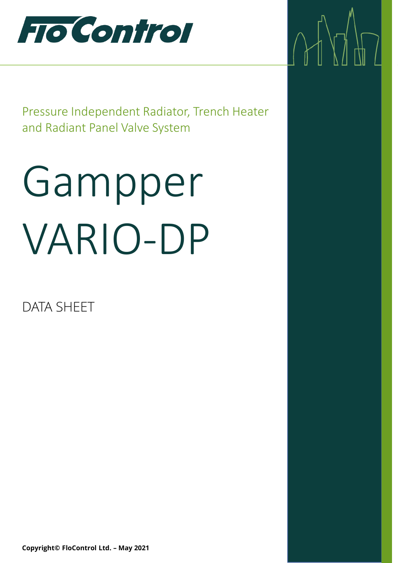

Pressure Independent Radiator, Trench Heater and Radiant Panel Valve System

 $\Delta$ 

# Gampper VARIO-DP

DATA SHEET

**Copyright© FloControl Ltd. – May 2021**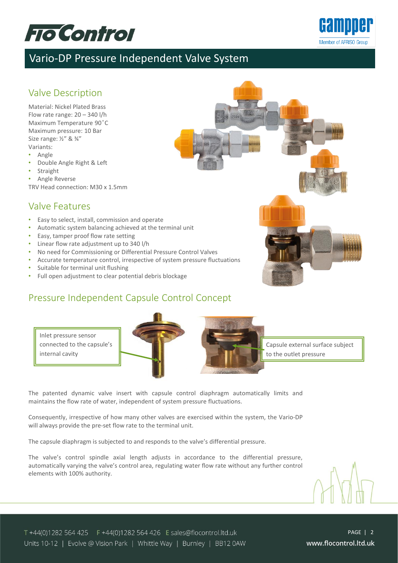



### Vario-DP Pressure Independent Valve System

#### Valve Description

Material: Nickel Plated Brass Flow rate range: 20 – 340 l/h Maximum Temperature 90°C Maximum pressure: 10 Bar Size range: ½" & ¾" Variants:

- Angle
- Double Angle Right & Left
- Straight
- Angle Reverse TRV Head connection: M30 x 1.5mm

#### Valve Features

- Easy to select, install, commission and operate
- Automatic system balancing achieved at the terminal unit
- Easy, tamper proof flow rate setting
- Linear flow rate adjustment up to 340 l/h
- No need for Commissioning or Differential Pressure Control Valves
- Accurate temperature control, irrespective of system pressure fluctuations
- Suitable for terminal unit flushing
- Full open adjustment to clear potential debris blockage

#### Pressure Independent Capsule Control Concept

Inlet pressure sensor connected to the capsule's internal cavity





Capsule external surface subject to the outlet pressure

The patented dynamic valve insert with capsule control diaphragm automatically limits and maintains the flow rate of water, independent of system pressure fluctuations.

Consequently, irrespective of how many other valves are exercised within the system, the Vario-DP will always provide the pre-set flow rate to the terminal unit.

The capsule diaphragm is subjected to and responds to the valve's differential pressure.

The valve's control spindle axial length adjusts in accordance to the differential pressure, automatically varying the valve's control area, regulating water flow rate without any further control elements with 100% authority.

T +44(0)1282 564 425 F +44(0)1282 564 426 E sales@flocontrol.ltd.uk Units 10-12 | Evolve @ Vision Park | Whittle Way | Burnley | BB12 0AW

PAGE | 2www.flocontrol.ltd.uk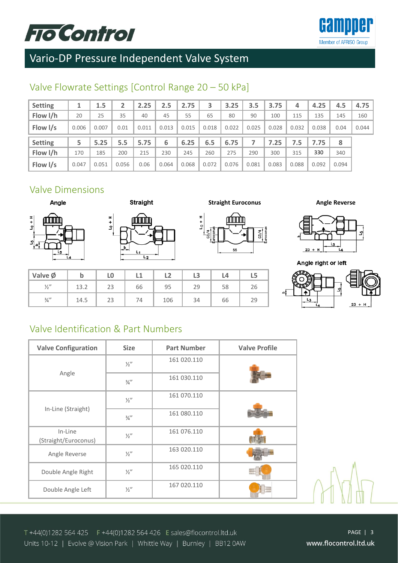# **FTO Control**



# Vario-DP Pressure Independent Valve System

#### Valve Flowrate Settings [Control Range 20 – 50 kPa]

| <b>Setting</b> |       | 1.5   |      | 2.25  | 2.5   | 2.75  | 3     | 3.25  | 3.5   | 3.75  | 4     | 4.25  | 4.5  | 4.75  |
|----------------|-------|-------|------|-------|-------|-------|-------|-------|-------|-------|-------|-------|------|-------|
| Flow I/h       | 20    | 25    | 35   | 40    | 45    | 55    | 65    | 80    | 90    | 100   | 115   | 135   | 145  | 160   |
| Flow I/s       | 0.006 | 0.007 | 0.01 | 0.011 | 0.013 | 0.015 | 0.018 | 0.022 | 0.025 | 0.028 | 0.032 | 0.038 | 0.04 | 0.044 |
|                |       |       |      |       |       |       |       |       |       |       |       |       |      |       |
| <b>Setting</b> |       | 5.25  | 5.5  | 5.75  | 6     | 6.25  | 6.5   | 6.75  |       | 7.25  | 7.5   | 7.75  | 8    |       |
| Flow I/h       | 170   | 185   | 200  | 215   | 230   | 245   | 260   | 275   | 290   | 300   | 315   | 330   | 340  |       |

#### Valve Dimensions





**Valve Ø b L0 L1 L2 L3 L4 L5** <sup>1/2"</sup> | 13.2 | 23 | 66 | 95 | 29 | 58 | 26 ¾" 14.5 23 74 106 34 66 29

**Straight Euroconus Angle Reverse** 







Angle right or left



#### Valve Identification & Part Numbers

| <b>Valve Configuration</b>      | <b>Size</b>     | <b>Part Number</b> | <b>Valve Profile</b> |
|---------------------------------|-----------------|--------------------|----------------------|
|                                 | $\frac{1}{2}$   | 161 020.110        |                      |
| Angle                           | $\frac{3}{4}$ " | 161 030.110        |                      |
|                                 | $\frac{1}{2}$   | 161 070.110        |                      |
| In-Line (Straight)              | $\frac{3}{4}$ " | 161 080.110        |                      |
| In-Line<br>(Straight/Euroconus) | $\frac{1}{2}$   | 161 076.110        |                      |
| Angle Reverse                   | $\frac{1}{2}$   | 163 020.110        |                      |
| Double Angle Right              | $\frac{1}{2}$   | 165 020.110        |                      |
| Double Angle Left               | $\frac{1}{2}$   | 167 020.110        |                      |

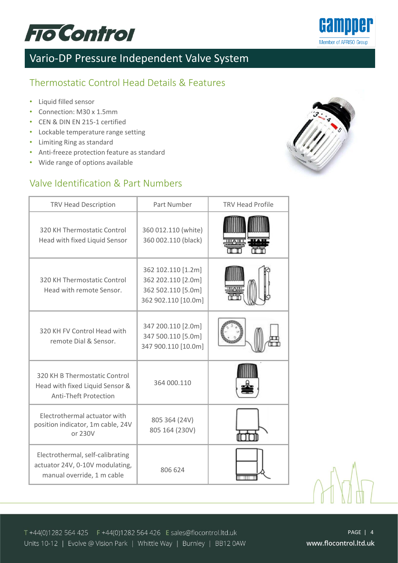



#### Thermostatic Control Head Details & Features

- Liquid filled sensor
- Connection: M30 x 1.5mm
- CEN & DIN EN 215-1 certified
- Lockable temperature range setting
- Limiting Ring as standard
- Anti-freeze protection feature as standard
- Wide range of options available

#### Valve Identification & Part Numbers



| <b>TRV Head Description</b>                                                                       | Part Number                                                                           | <b>TRV Head Profile</b> |
|---------------------------------------------------------------------------------------------------|---------------------------------------------------------------------------------------|-------------------------|
| 320 KH Thermostatic Control<br>Head with fixed Liquid Sensor                                      | 360 012.110 (white)<br>360 002.110 (black)                                            | шдш                     |
| 320 KH Thermostatic Control<br>Head with remote Sensor.                                           | 362 102.110 [1.2m]<br>362 202.110 [2.0m]<br>362 502.110 [5.0m]<br>362 902.110 [10.0m] | ШАШ                     |
| 320 KH FV Control Head with<br>remote Dial & Sensor.                                              | 347 200.110 [2.0m]<br>347 500.110 [5.0m]<br>347 900.110 [10.0m]                       |                         |
| 320 KH B Thermostatic Control<br>Head with fixed Liquid Sensor &<br><b>Anti-Theft Protection</b>  | 364 000.110                                                                           |                         |
| Electrothermal actuator with<br>position indicator, 1m cable, 24V<br>or 230V                      | 805 364 (24V)<br>805 164 (230V)                                                       |                         |
| Electrothermal, self-calibrating<br>actuator 24V, 0-10V modulating,<br>manual override, 1 m cable | 806 624                                                                               |                         |



T +44(0)1282 564 425 F +44(0)1282 564 426 E sales@flocontrol.ltd.uk Units 10-12 | Evolve @ Vision Park | Whittle Way | Burnley | BB12 0AW

PAGE | 4 www.flocontrol.ltd.uk